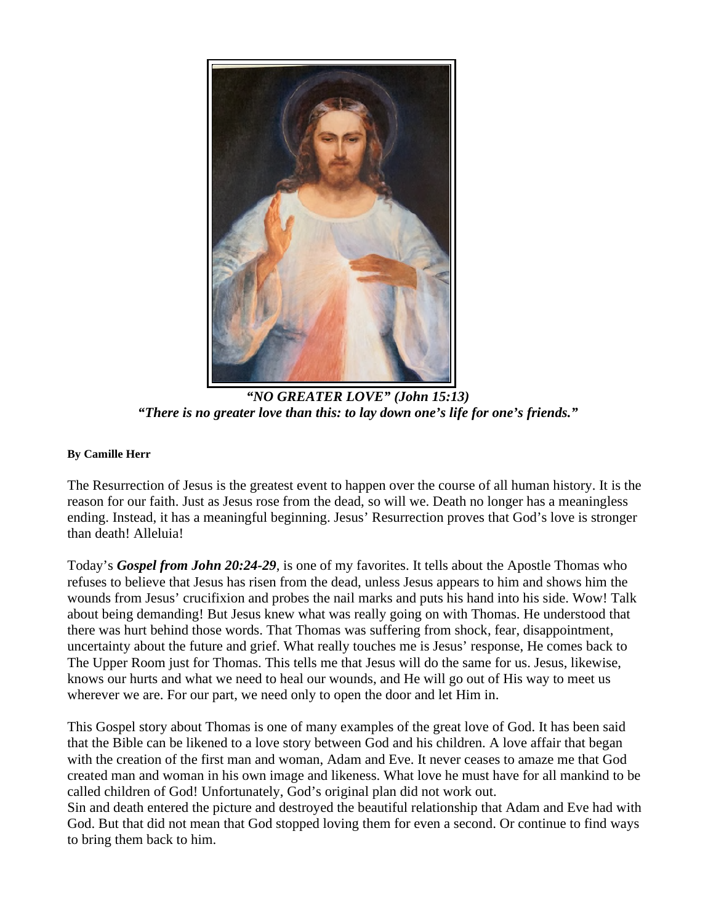

*"NO GREATER LOVE" (John 15:13) "There is no greater love than this: to lay down one's life for one's friends."* 

## **By Camille Herr**

The Resurrection of Jesus is the greatest event to happen over the course of all human history. It is the reason for our faith. Just as Jesus rose from the dead, so will we. Death no longer has a meaningless ending. Instead, it has a meaningful beginning. Jesus' Resurrection proves that God's love is stronger than death! Alleluia!

Today's *Gospel from John 20:24-29*, is one of my favorites. It tells about the Apostle Thomas who refuses to believe that Jesus has risen from the dead, unless Jesus appears to him and shows him the wounds from Jesus' crucifixion and probes the nail marks and puts his hand into his side. Wow! Talk about being demanding! But Jesus knew what was really going on with Thomas. He understood that there was hurt behind those words. That Thomas was suffering from shock, fear, disappointment, uncertainty about the future and grief. What really touches me is Jesus' response, He comes back to The Upper Room just for Thomas. This tells me that Jesus will do the same for us. Jesus, likewise, knows our hurts and what we need to heal our wounds, and He will go out of His way to meet us wherever we are. For our part, we need only to open the door and let Him in.

This Gospel story about Thomas is one of many examples of the great love of God. It has been said that the Bible can be likened to a love story between God and his children. A love affair that began with the creation of the first man and woman, Adam and Eve. It never ceases to amaze me that God created man and woman in his own image and likeness. What love he must have for all mankind to be called children of God! Unfortunately, God's original plan did not work out.

Sin and death entered the picture and destroyed the beautiful relationship that Adam and Eve had with God. But that did not mean that God stopped loving them for even a second. Or continue to find ways to bring them back to him.